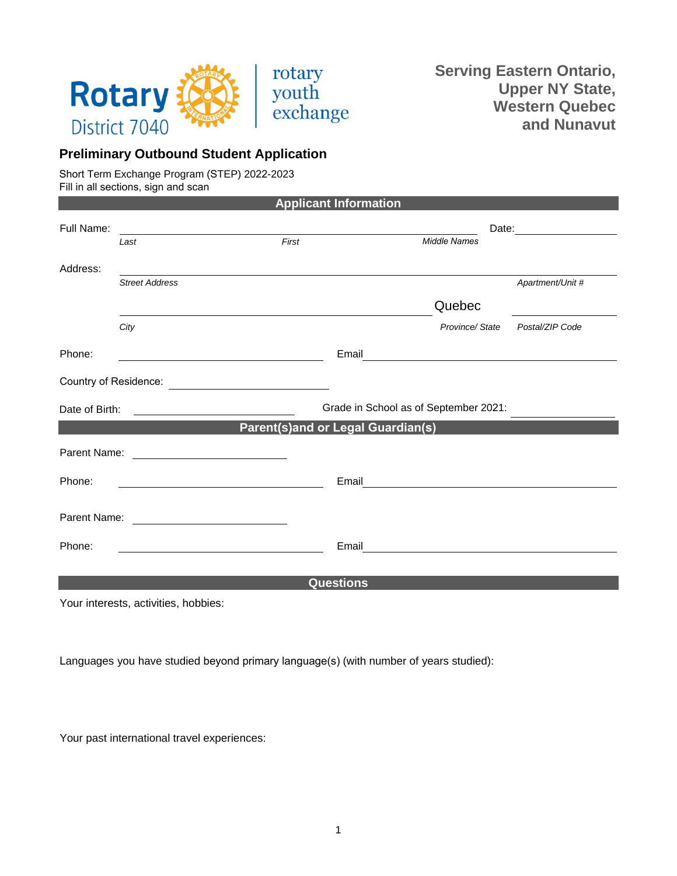

**Serving Eastern Ontario, Upper NY State, Western Quebec and Nunavut** 

## **Preliminary Outbound Student Application**

Short Term Exchange Program (STEP) 2022-2023 Fill in all sections, sign and scan

| Full Name:            |                                | Date: <u>________________________</u>                                                                                                                                                                                       |                                                                                                                                                                                                                                                                                                                                                                                                                                                                                                          |
|-----------------------|--------------------------------|-----------------------------------------------------------------------------------------------------------------------------------------------------------------------------------------------------------------------------|----------------------------------------------------------------------------------------------------------------------------------------------------------------------------------------------------------------------------------------------------------------------------------------------------------------------------------------------------------------------------------------------------------------------------------------------------------------------------------------------------------|
| Last                  | First                          | <b>Middle Names</b>                                                                                                                                                                                                         |                                                                                                                                                                                                                                                                                                                                                                                                                                                                                                          |
|                       |                                |                                                                                                                                                                                                                             |                                                                                                                                                                                                                                                                                                                                                                                                                                                                                                          |
| <b>Street Address</b> |                                |                                                                                                                                                                                                                             | Apartment/Unit #                                                                                                                                                                                                                                                                                                                                                                                                                                                                                         |
|                       |                                | Quebec                                                                                                                                                                                                                      |                                                                                                                                                                                                                                                                                                                                                                                                                                                                                                          |
| City                  |                                | Province/State                                                                                                                                                                                                              | Postal/ZIP Code                                                                                                                                                                                                                                                                                                                                                                                                                                                                                          |
|                       |                                |                                                                                                                                                                                                                             |                                                                                                                                                                                                                                                                                                                                                                                                                                                                                                          |
|                       |                                |                                                                                                                                                                                                                             |                                                                                                                                                                                                                                                                                                                                                                                                                                                                                                          |
|                       |                                |                                                                                                                                                                                                                             |                                                                                                                                                                                                                                                                                                                                                                                                                                                                                                          |
|                       |                                |                                                                                                                                                                                                                             |                                                                                                                                                                                                                                                                                                                                                                                                                                                                                                          |
|                       |                                |                                                                                                                                                                                                                             |                                                                                                                                                                                                                                                                                                                                                                                                                                                                                                          |
|                       |                                |                                                                                                                                                                                                                             |                                                                                                                                                                                                                                                                                                                                                                                                                                                                                                          |
|                       |                                |                                                                                                                                                                                                                             |                                                                                                                                                                                                                                                                                                                                                                                                                                                                                                          |
|                       |                                |                                                                                                                                                                                                                             |                                                                                                                                                                                                                                                                                                                                                                                                                                                                                                          |
|                       |                                |                                                                                                                                                                                                                             |                                                                                                                                                                                                                                                                                                                                                                                                                                                                                                          |
|                       | Date of Birth:<br>Parent Name: | <u> 1980 - Jan Samuel Barbara, politik eta politik eta politik eta politik eta politik eta politik eta politik e</u><br><u> 1980 - Andrea Station Barbara, amerikan per</u><br>Parent Name: <u>________________________</u> | <b>Applicant Information</b><br>and the control of the control of the control of the control of the control of the control of the control of the<br>Email<br><u> 1980 - Andrea Andrew Maria (h. 1980).</u><br>1901 - Andrew Maria (h. 1902).<br>Grade in School as of September 2021:<br>Parent(s)and or Legal Guardian(s)<br>Email <u>___________________________</u><br>Email<br><u> 1980 - Andrea Aonaichte ann an t-Aonaichte ann an t-Aonaichte ann an t-Aonaichte ann an t-Aonaichte ann an t-</u> |

Your interests, activities, hobbies:

Languages you have studied beyond primary language(s) (with number of years studied):

Your past international travel experiences: